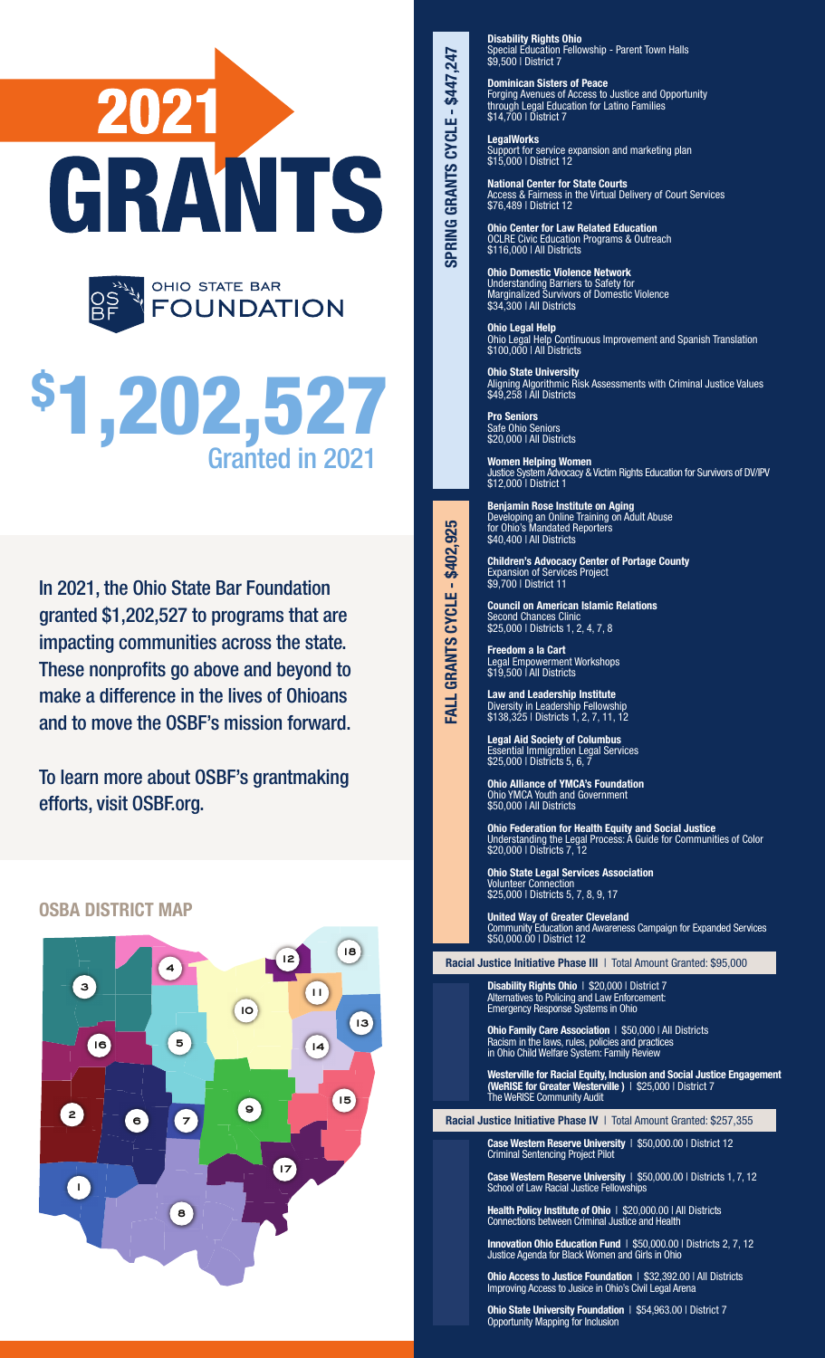

# \$ 1,202,527 Granted in 2021

In 2021, the Ohio State Bar Foundation granted \$1,202,527 to programs that are impacting communities across the state. These nonprofits go above and beyond to make a difference in the lives of Ohioans and to move the OSBF's mission forward.

To learn more about OSBF's grantmaking efforts, visit OSBF.org.

## OSBA DISTRICT MAP



Disability Rights Ohio Special Education Fellowship - Parent Town Halls \$9,500 | District 7

Dominican Sisters of Peace Forging Avenues of Access to Justice and Opportunity through Legal Education for Latino Families \$14,700 | District 7

**LegalWorks** Support for service expansion and marketing plan \$15,000 | District 12

National Center for State Courts Access & Fairness in the Virtual Delivery of Court Services \$76,489 | District 12

Ohio Center for Law Related Education OCLRE Civic Education Programs & Outreach \$116,000 | All Districts

Ohio Domestic Violence Network Understanding Barriers to Safety for Marginalized Survivors of Domestic Violence \$34,300 | All Districts

Ohio Legal Help Ohio Legal Help Continuous Improvement and Spanish Translation \$100,000 | All Districts

Ohio State University Aligning Algorithmic Risk Assessments with Criminal Justice Values \$49,258 | All Districts

Pro Seniors Safe Ohio Seniors \$20,000 | All Districts

SPRING GRANTS CYCLE - \$447,247

**SPRING GRANTS CYCLE - \$447,247** 

FALL GRANTS CYCLE - \$402,925

ALL GRANTS CYCLE - \$402,925

Women Helping Women Justice System Advocacy & Victim Rights Education for Survivors of DV/IPV \$12,000 | District 1

Benjamin Rose Institute on Aging Developing an Online Training on Adult Abuse for Ohio's Mandated Reporters \$40,400 | All Districts

Children's Advocacy Center of Portage County Expansion of Services Project \$9,700 | District 11

Council on American Islamic Relations Second Chances Clinic \$25,000 | Districts 1, 2, 4, 7, 8

Freedom a la Cart Legal Empowerment Workshops \$19,500 | All Districts

Law and Leadership Institute Diversity in Leadership Fellowship \$138,325 | Districts 1, 2, 7, 11, 12

Legal Aid Society of Columbus Essential Immigration Legal Services \$25,000 | Districts 5, 6, 7

Ohio Alliance of YMCA's Foundation Ohio YMCA Youth and Government \$50,000 | All Districts

Ohio Federation for Health Equity and Social Justice Understanding the Legal Process: A Guide for Communities of Color \$20,000 | Districts 7, 12

Ohio State Legal Services Association Volunteer Connection \$25,000 | Districts 5, 7, 8, 9, 17

United Way of Greater Cleveland Community Education and Awareness Campaign for Expanded Services \$50,000.00 | District 12

Racial Justice Initiative Phase III | Total Amount Granted: \$95,000

Disability Rights Ohio | \$20,000 | District 7 Alternatives to Policing and Law Enforcement: Emergency Response Systems in Ohio

Ohio Family Care Association | \$50,000 | All Districts Racism in the laws, rules, policies and practices in Ohio Child Welfare System: Family Review

Westerville for Racial Equity, Inclusion and Social Justice Engagement (WeRISE for Greater Westerville) | \$25,000 | District 7 The WeRISE Community Audit

Racial Justice Initiative Phase IV | Total Amount Granted: \$257,355

Case Western Reserve University | \$50,000.00 | District 12 Criminal Sentencing Project Pilot

Case Western Reserve University | \$50,000.00 | Districts 1, 7, 12 School of Law Racial Justice Fellowships

Health Policy Institute of Ohio | \$20,000.00 | All Districts Connections between Criminal Justice and Health

Innovation Ohio Education Fund | \$50,000.00 | Districts 2, 7, 12 Justice Agenda for Black Women and Girls in Ohio

Ohio Access to Justice Foundation | \$32,392.00 | All Districts Improving Access to Jusice in Ohio's Civil Legal Arena

Ohio State University Foundation | \$54,963.00 | District 7 Opportunity Mapping for Inclusion